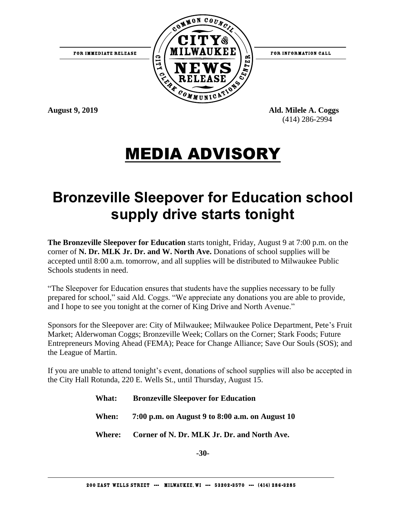

FOR INFORMATION CALL

**August 9, 2019 Ald. Milele A. Coggs**  (414) 286-2994

# MEDIA ADVISORY

## **Bronzeville Sleepover for Education school supply drive starts tonight**

**The Bronzeville Sleepover for Education** starts tonight, Friday, August 9 at 7:00 p.m. on the corner of **N. Dr. MLK Jr. Dr. and W. North Ave.** Donations of school supplies will be accepted until 8:00 a.m. tomorrow, and all supplies will be distributed to Milwaukee Public Schools students in need.

"The Sleepover for Education ensures that students have the supplies necessary to be fully prepared for school," said Ald. Coggs. "We appreciate any donations you are able to provide, and I hope to see you tonight at the corner of King Drive and North Avenue."

Sponsors for the Sleepover are: City of Milwaukee; Milwaukee Police Department, Pete's Fruit Market; Alderwoman Coggs; Bronzeville Week; Collars on the Corner; Stark Foods; Future Entrepreneurs Moving Ahead (FEMA); Peace for Change Alliance; Save Our Souls (SOS); and the League of Martin.

If you are unable to attend tonight's event, donations of school supplies will also be accepted in the City Hall Rotunda, 220 E. Wells St., until Thursday, August 15.

- **What: Bronzeville Sleepover for Education**
- **When: 7:00 p.m. on August 9 to 8:00 a.m. on August 10**
- **Where: Corner of N. Dr. MLK Jr. Dr. and North Ave.**

**-30-**